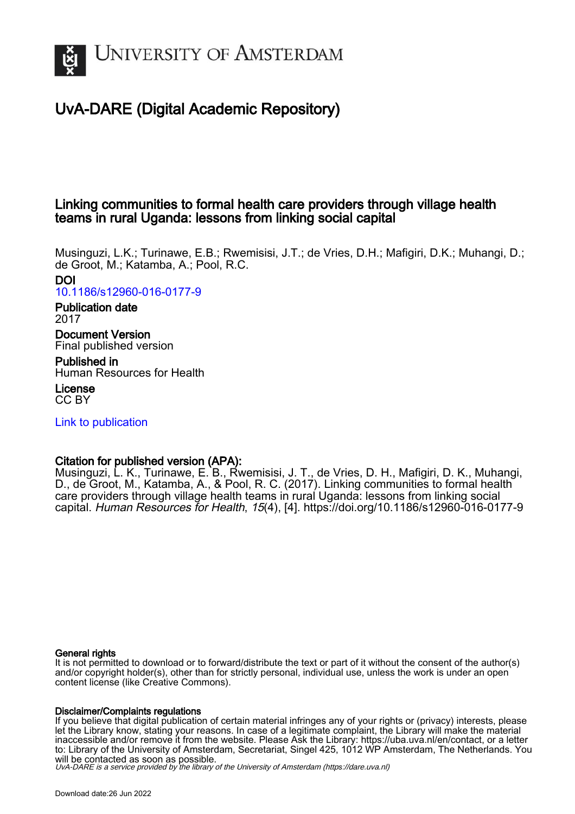

# UvA-DARE (Digital Academic Repository)

# Linking communities to formal health care providers through village health teams in rural Uganda: lessons from linking social capital

Musinguzi, L.K.; Turinawe, E.B.; Rwemisisi, J.T.; de Vries, D.H.; Mafigiri, D.K.; Muhangi, D.; de Groot, M.; Katamba, A.; Pool, R.C. DOI

[10.1186/s12960-016-0177-9](https://doi.org/10.1186/s12960-016-0177-9)

Publication date 2017

Document Version Final published version

Published in Human Resources for Health

License CC BY

[Link to publication](https://dare.uva.nl/personal/pure/en/publications/linking-communities-to-formal-health-care-providers-through-village-health-teams-in-rural-uganda-lessons-from-linking-social-capital(48dc4023-0645-4a06-87b3-e39c4e3acf0c).html)

# Citation for published version (APA):

Musinguzi, L. K., Turinawe, E. B., Rwemisisi, J. T., de Vries, D. H., Mafigiri, D. K., Muhangi, D., de Groot, M., Katamba, A., & Pool, R. C. (2017). Linking communities to formal health care providers through village health teams in rural Uganda: lessons from linking social capital. Human Resources for Health, 15(4), [4].<https://doi.org/10.1186/s12960-016-0177-9>

# General rights

It is not permitted to download or to forward/distribute the text or part of it without the consent of the author(s) and/or copyright holder(s), other than for strictly personal, individual use, unless the work is under an open content license (like Creative Commons).

# Disclaimer/Complaints regulations

If you believe that digital publication of certain material infringes any of your rights or (privacy) interests, please let the Library know, stating your reasons. In case of a legitimate complaint, the Library will make the material inaccessible and/or remove it from the website. Please Ask the Library: https://uba.uva.nl/en/contact, or a letter to: Library of the University of Amsterdam, Secretariat, Singel 425, 1012 WP Amsterdam, The Netherlands. You will be contacted as soon as possible.

UvA-DARE is a service provided by the library of the University of Amsterdam (http*s*://dare.uva.nl)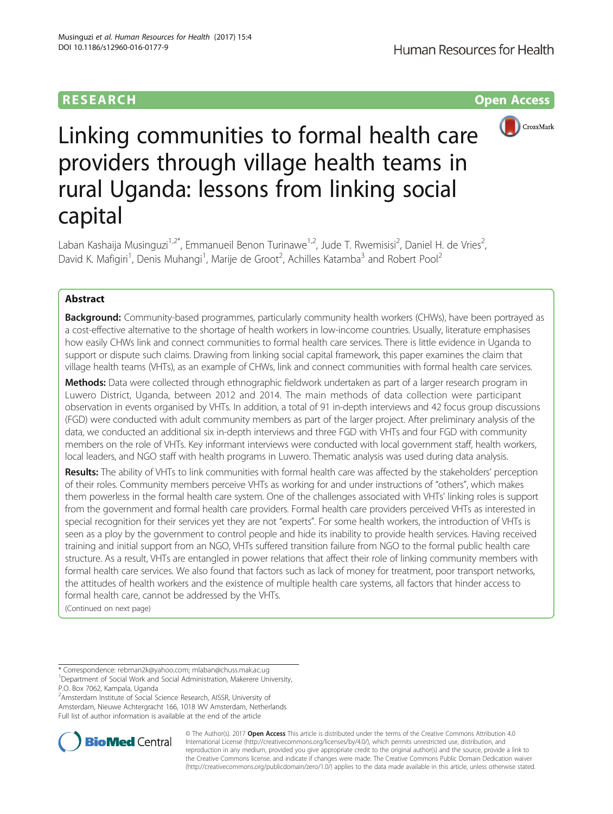

# Linking communities to formal health care providers through village health teams in rural Uganda: lessons from linking social capital

Laban Kashaija Musinguzi<sup>1,2\*</sup>, Emmanueil Benon Turinawe<sup>1,2</sup>, Jude T. Rwemisisi<sup>2</sup>, Daniel H. de Vries<sup>2</sup> .<br>, David K. Mafigiri<sup>1</sup>, Denis Muhangi<sup>1</sup>, Marije de Groot<sup>2</sup>, Achilles Katamba<sup>3</sup> and Robert Pool<sup>2</sup>

# Abstract

**Background:** Community-based programmes, particularly community health workers (CHWs), have been portrayed as a cost-effective alternative to the shortage of health workers in low-income countries. Usually, literature emphasises how easily CHWs link and connect communities to formal health care services. There is little evidence in Uganda to support or dispute such claims. Drawing from linking social capital framework, this paper examines the claim that village health teams (VHTs), as an example of CHWs, link and connect communities with formal health care services.

Methods: Data were collected through ethnographic fieldwork undertaken as part of a larger research program in Luwero District, Uganda, between 2012 and 2014. The main methods of data collection were participant observation in events organised by VHTs. In addition, a total of 91 in-depth interviews and 42 focus group discussions (FGD) were conducted with adult community members as part of the larger project. After preliminary analysis of the data, we conducted an additional six in-depth interviews and three FGD with VHTs and four FGD with community members on the role of VHTs. Key informant interviews were conducted with local government staff, health workers, local leaders, and NGO staff with health programs in Luwero. Thematic analysis was used during data analysis.

Results: The ability of VHTs to link communities with formal health care was affected by the stakeholders' perception of their roles. Community members perceive VHTs as working for and under instructions of "others", which makes them powerless in the formal health care system. One of the challenges associated with VHTs' linking roles is support from the government and formal health care providers. Formal health care providers perceived VHTs as interested in special recognition for their services yet they are not "experts". For some health workers, the introduction of VHTs is seen as a ploy by the government to control people and hide its inability to provide health services. Having received training and initial support from an NGO, VHTs suffered transition failure from NGO to the formal public health care structure. As a result, VHTs are entangled in power relations that affect their role of linking community members with formal health care services. We also found that factors such as lack of money for treatment, poor transport networks, the attitudes of health workers and the existence of multiple health care systems, all factors that hinder access to formal health care, cannot be addressed by the VHTs. (Continued on next page)

\* Correspondence: [rebman2k@yahoo.com](mailto:rebman2k@yahoo.com); [mlaban@chuss.mak.ac.ug](mailto:mlaban@chuss.mak.ac.ug) <sup>1</sup> <sup>1</sup>Department of Social Work and Social Administration, Makerere University,

P.O. Box 7062, Kampala, Uganda

2 Amsterdam Institute of Social Science Research, AISSR, University of Amsterdam, Nieuwe Achtergracht 166, 1018 WV Amsterdam, Netherlands Full list of author information is available at the end of the article



© The Author(s). 2017 **Open Access** This article is distributed under the terms of the Creative Commons Attribution 4.0 International License [\(http://creativecommons.org/licenses/by/4.0/](http://creativecommons.org/licenses/by/4.0/)), which permits unrestricted use, distribution, and reproduction in any medium, provided you give appropriate credit to the original author(s) and the source, provide a link to the Creative Commons license, and indicate if changes were made. The Creative Commons Public Domain Dedication waiver [\(http://creativecommons.org/publicdomain/zero/1.0/](http://creativecommons.org/publicdomain/zero/1.0/)) applies to the data made available in this article, unless otherwise stated.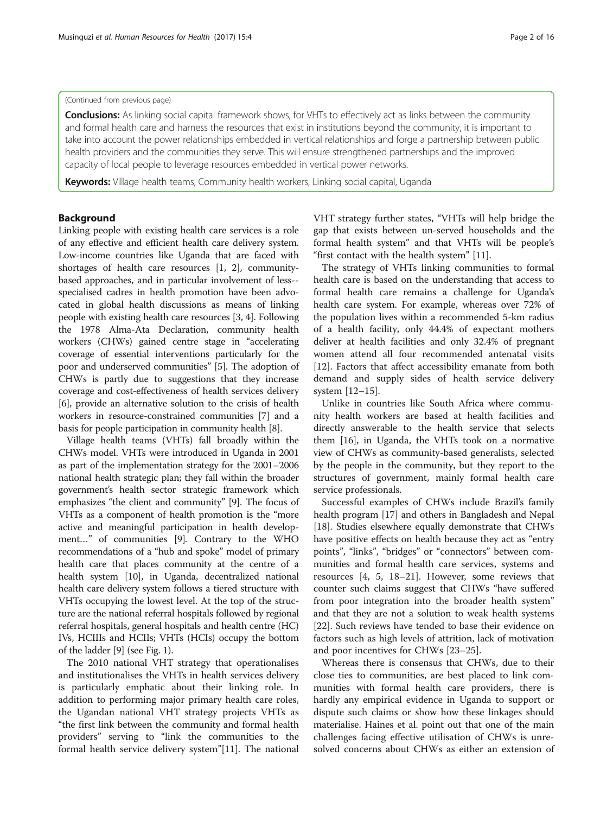#### (Continued from previous page)

**Conclusions:** As linking social capital framework shows, for VHTs to effectively act as links between the community and formal health care and harness the resources that exist in institutions beyond the community, it is important to take into account the power relationships embedded in vertical relationships and forge a partnership between public health providers and the communities they serve. This will ensure strengthened partnerships and the improved capacity of local people to leverage resources embedded in vertical power networks.

Keywords: Village health teams, Community health workers, Linking social capital, Uganda

# Background

Linking people with existing health care services is a role of any effective and efficient health care delivery system. Low-income countries like Uganda that are faced with shortages of health care resources [[1, 2](#page-14-0)], communitybased approaches, and in particular involvement of less- specialised cadres in health promotion have been advocated in global health discussions as means of linking people with existing health care resources [\[3](#page-14-0), [4](#page-14-0)]. Following the 1978 Alma-Ata Declaration, community health workers (CHWs) gained centre stage in "accelerating coverage of essential interventions particularly for the poor and underserved communities" [\[5](#page-14-0)]. The adoption of CHWs is partly due to suggestions that they increase coverage and cost-effectiveness of health services delivery [[6\]](#page-14-0), provide an alternative solution to the crisis of health workers in resource-constrained communities [\[7](#page-14-0)] and a basis for people participation in community health [\[8](#page-15-0)].

Village health teams (VHTs) fall broadly within the CHWs model. VHTs were introduced in Uganda in 2001 as part of the implementation strategy for the 2001–2006 national health strategic plan; they fall within the broader government's health sector strategic framework which emphasizes "the client and community" [\[9](#page-15-0)]. The focus of VHTs as a component of health promotion is the "more active and meaningful participation in health development…" of communities [\[9](#page-15-0)]. Contrary to the WHO recommendations of a "hub and spoke" model of primary health care that places community at the centre of a health system [\[10\]](#page-15-0), in Uganda, decentralized national health care delivery system follows a tiered structure with VHTs occupying the lowest level. At the top of the structure are the national referral hospitals followed by regional referral hospitals, general hospitals and health centre (HC) IVs, HCIIIs and HCIIs; VHTs (HCIs) occupy the bottom of the ladder [\[9\]](#page-15-0) (see Fig. [1](#page-3-0)).

The 2010 national VHT strategy that operationalises and institutionalises the VHTs in health services delivery is particularly emphatic about their linking role. In addition to performing major primary health care roles, the Ugandan national VHT strategy projects VHTs as "the first link between the community and formal health providers" serving to "link the communities to the formal health service delivery system"[\[11](#page-15-0)]. The national VHT strategy further states, "VHTs will help bridge the gap that exists between un-served households and the formal health system" and that VHTs will be people's "first contact with the health system" [\[11](#page-15-0)].

The strategy of VHTs linking communities to formal health care is based on the understanding that access to formal health care remains a challenge for Uganda's health care system. For example, whereas over 72% of the population lives within a recommended 5-km radius of a health facility, only 44.4% of expectant mothers deliver at health facilities and only 32.4% of pregnant women attend all four recommended antenatal visits [[12\]](#page-15-0). Factors that affect accessibility emanate from both demand and supply sides of health service delivery system [[12](#page-15-0)–[15](#page-15-0)].

Unlike in countries like South Africa where community health workers are based at health facilities and directly answerable to the health service that selects them [[16](#page-15-0)], in Uganda, the VHTs took on a normative view of CHWs as community-based generalists, selected by the people in the community, but they report to the structures of government, mainly formal health care service professionals.

Successful examples of CHWs include Brazil's family health program [\[17\]](#page-15-0) and others in Bangladesh and Nepal [[18\]](#page-15-0). Studies elsewhere equally demonstrate that CHWs have positive effects on health because they act as "entry points", "links", "bridges" or "connectors" between communities and formal health care services, systems and resources [\[4](#page-14-0), [5](#page-14-0), [18](#page-15-0)–[21\]](#page-15-0). However, some reviews that counter such claims suggest that CHWs "have suffered from poor integration into the broader health system" and that they are not a solution to weak health systems [[22\]](#page-15-0). Such reviews have tended to base their evidence on factors such as high levels of attrition, lack of motivation and poor incentives for CHWs [[23](#page-15-0)–[25\]](#page-15-0).

Whereas there is consensus that CHWs, due to their close ties to communities, are best placed to link communities with formal health care providers, there is hardly any empirical evidence in Uganda to support or dispute such claims or show how these linkages should materialise. Haines et al. point out that one of the main challenges facing effective utilisation of CHWs is unresolved concerns about CHWs as either an extension of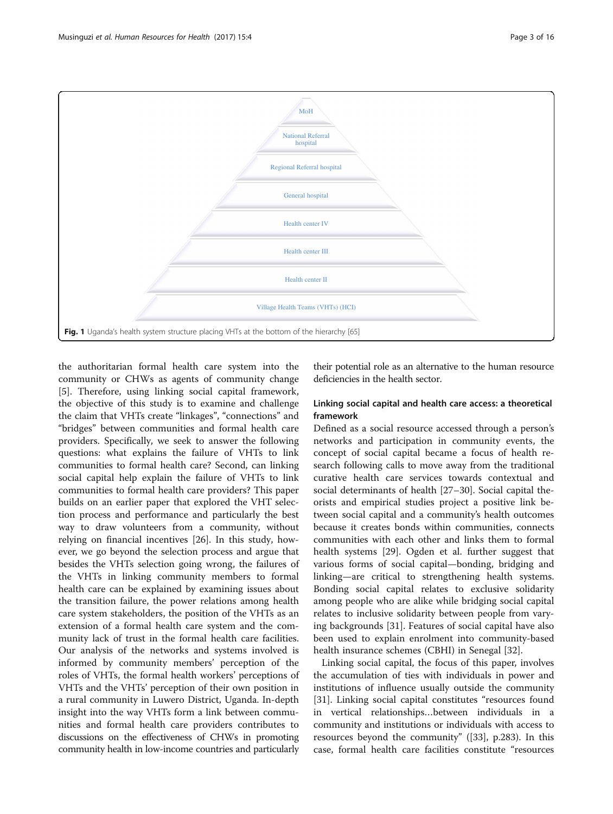<span id="page-3-0"></span>

the authoritarian formal health care system into the community or CHWs as agents of community change [[5\]](#page-14-0). Therefore, using linking social capital framework, the objective of this study is to examine and challenge the claim that VHTs create "linkages", "connections" and "bridges" between communities and formal health care providers. Specifically, we seek to answer the following questions: what explains the failure of VHTs to link communities to formal health care? Second, can linking social capital help explain the failure of VHTs to link communities to formal health care providers? This paper builds on an earlier paper that explored the VHT selection process and performance and particularly the best way to draw volunteers from a community, without relying on financial incentives [\[26\]](#page-15-0). In this study, however, we go beyond the selection process and argue that besides the VHTs selection going wrong, the failures of the VHTs in linking community members to formal health care can be explained by examining issues about the transition failure, the power relations among health care system stakeholders, the position of the VHTs as an extension of a formal health care system and the community lack of trust in the formal health care facilities. Our analysis of the networks and systems involved is informed by community members' perception of the roles of VHTs, the formal health workers' perceptions of VHTs and the VHTs' perception of their own position in a rural community in Luwero District, Uganda. In-depth insight into the way VHTs form a link between communities and formal health care providers contributes to discussions on the effectiveness of CHWs in promoting community health in low-income countries and particularly their potential role as an alternative to the human resource deficiencies in the health sector.

# Linking social capital and health care access: a theoretical framework

Defined as a social resource accessed through a person's networks and participation in community events, the concept of social capital became a focus of health research following calls to move away from the traditional curative health care services towards contextual and social determinants of health [[27](#page-15-0)–[30](#page-15-0)]. Social capital theorists and empirical studies project a positive link between social capital and a community's health outcomes because it creates bonds within communities, connects communities with each other and links them to formal health systems [[29](#page-15-0)]. Ogden et al. further suggest that various forms of social capital—bonding, bridging and linking—are critical to strengthening health systems. Bonding social capital relates to exclusive solidarity among people who are alike while bridging social capital relates to inclusive solidarity between people from varying backgrounds [[31\]](#page-15-0). Features of social capital have also been used to explain enrolment into community-based health insurance schemes (CBHI) in Senegal [[32\]](#page-15-0).

Linking social capital, the focus of this paper, involves the accumulation of ties with individuals in power and institutions of influence usually outside the community [[31\]](#page-15-0). Linking social capital constitutes "resources found in vertical relationships…between individuals in a community and institutions or individuals with access to resources beyond the community" ([[33](#page-15-0)], p.283). In this case, formal health care facilities constitute "resources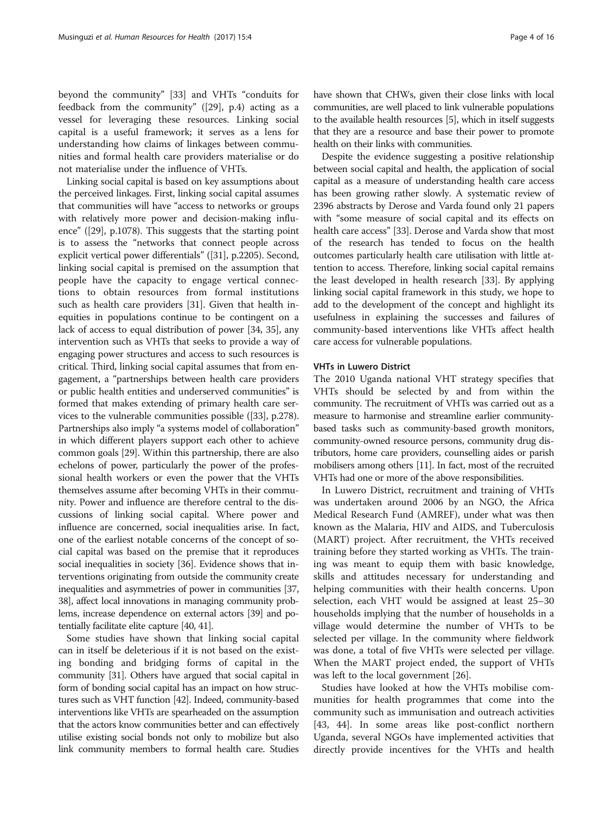beyond the community" [\[33\]](#page-15-0) and VHTs "conduits for feedback from the community" ([\[29](#page-15-0)], p.4) acting as a vessel for leveraging these resources. Linking social capital is a useful framework; it serves as a lens for understanding how claims of linkages between communities and formal health care providers materialise or do not materialise under the influence of VHTs.

Linking social capital is based on key assumptions about the perceived linkages. First, linking social capital assumes that communities will have "access to networks or groups with relatively more power and decision-making influence" ([\[29\]](#page-15-0), p.1078). This suggests that the starting point is to assess the "networks that connect people across explicit vertical power differentials" ([\[31\]](#page-15-0), p.2205). Second, linking social capital is premised on the assumption that people have the capacity to engage vertical connections to obtain resources from formal institutions such as health care providers [[31](#page-15-0)]. Given that health inequities in populations continue to be contingent on a lack of access to equal distribution of power [\[34](#page-15-0), [35](#page-15-0)], any intervention such as VHTs that seeks to provide a way of engaging power structures and access to such resources is critical. Third, linking social capital assumes that from engagement, a "partnerships between health care providers or public health entities and underserved communities" is formed that makes extending of primary health care services to the vulnerable communities possible ([\[33\]](#page-15-0), p.278). Partnerships also imply "a systems model of collaboration" in which different players support each other to achieve common goals [\[29\]](#page-15-0). Within this partnership, there are also echelons of power, particularly the power of the professional health workers or even the power that the VHTs themselves assume after becoming VHTs in their community. Power and influence are therefore central to the discussions of linking social capital. Where power and influence are concerned, social inequalities arise. In fact, one of the earliest notable concerns of the concept of social capital was based on the premise that it reproduces social inequalities in society [[36](#page-15-0)]. Evidence shows that interventions originating from outside the community create inequalities and asymmetries of power in communities [\[37](#page-15-0), [38](#page-15-0)], affect local innovations in managing community problems, increase dependence on external actors [\[39\]](#page-15-0) and potentially facilitate elite capture [\[40](#page-15-0), [41](#page-15-0)].

Some studies have shown that linking social capital can in itself be deleterious if it is not based on the existing bonding and bridging forms of capital in the community [\[31\]](#page-15-0). Others have argued that social capital in form of bonding social capital has an impact on how structures such as VHT function [\[42\]](#page-15-0). Indeed, community-based interventions like VHTs are spearheaded on the assumption that the actors know communities better and can effectively utilise existing social bonds not only to mobilize but also link community members to formal health care. Studies have shown that CHWs, given their close links with local communities, are well placed to link vulnerable populations to the available health resources [\[5\]](#page-14-0), which in itself suggests that they are a resource and base their power to promote health on their links with communities.

Despite the evidence suggesting a positive relationship between social capital and health, the application of social capital as a measure of understanding health care access has been growing rather slowly. A systematic review of 2396 abstracts by Derose and Varda found only 21 papers with "some measure of social capital and its effects on health care access" [\[33\]](#page-15-0). Derose and Varda show that most of the research has tended to focus on the health outcomes particularly health care utilisation with little attention to access. Therefore, linking social capital remains the least developed in health research [\[33\]](#page-15-0). By applying linking social capital framework in this study, we hope to add to the development of the concept and highlight its usefulness in explaining the successes and failures of community-based interventions like VHTs affect health care access for vulnerable populations.

#### VHTs in Luwero District

The 2010 Uganda national VHT strategy specifies that VHTs should be selected by and from within the community. The recruitment of VHTs was carried out as a measure to harmonise and streamline earlier communitybased tasks such as community-based growth monitors, community-owned resource persons, community drug distributors, home care providers, counselling aides or parish mobilisers among others [\[11\]](#page-15-0). In fact, most of the recruited VHTs had one or more of the above responsibilities.

In Luwero District, recruitment and training of VHTs was undertaken around 2006 by an NGO, the Africa Medical Research Fund (AMREF), under what was then known as the Malaria, HIV and AIDS, and Tuberculosis (MART) project. After recruitment, the VHTs received training before they started working as VHTs. The training was meant to equip them with basic knowledge, skills and attitudes necessary for understanding and helping communities with their health concerns. Upon selection, each VHT would be assigned at least 25–30 households implying that the number of households in a village would determine the number of VHTs to be selected per village. In the community where fieldwork was done, a total of five VHTs were selected per village. When the MART project ended, the support of VHTs was left to the local government [[26\]](#page-15-0).

Studies have looked at how the VHTs mobilise communities for health programmes that come into the community such as immunisation and outreach activities [[43, 44\]](#page-15-0). In some areas like post-conflict northern Uganda, several NGOs have implemented activities that directly provide incentives for the VHTs and health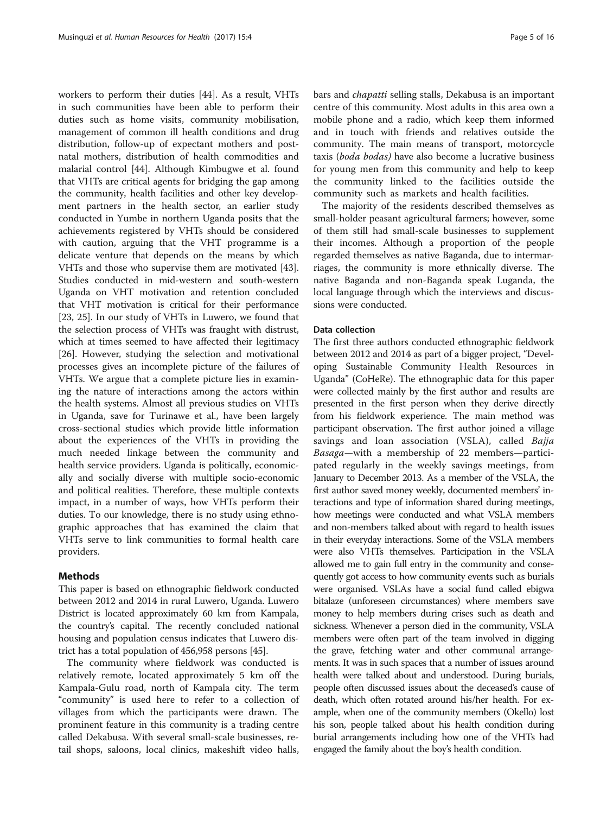workers to perform their duties [\[44](#page-15-0)]. As a result, VHTs in such communities have been able to perform their duties such as home visits, community mobilisation, management of common ill health conditions and drug distribution, follow-up of expectant mothers and postnatal mothers, distribution of health commodities and malarial control [[44\]](#page-15-0). Although Kimbugwe et al. found that VHTs are critical agents for bridging the gap among the community, health facilities and other key development partners in the health sector, an earlier study conducted in Yumbe in northern Uganda posits that the achievements registered by VHTs should be considered with caution, arguing that the VHT programme is a delicate venture that depends on the means by which VHTs and those who supervise them are motivated [\[43](#page-15-0)]. Studies conducted in mid-western and south-western Uganda on VHT motivation and retention concluded that VHT motivation is critical for their performance [[23, 25\]](#page-15-0). In our study of VHTs in Luwero, we found that the selection process of VHTs was fraught with distrust, which at times seemed to have affected their legitimacy [[26\]](#page-15-0). However, studying the selection and motivational processes gives an incomplete picture of the failures of VHTs. We argue that a complete picture lies in examining the nature of interactions among the actors within the health systems. Almost all previous studies on VHTs in Uganda, save for Turinawe et al., have been largely cross-sectional studies which provide little information about the experiences of the VHTs in providing the much needed linkage between the community and health service providers. Uganda is politically, economically and socially diverse with multiple socio-economic and political realities. Therefore, these multiple contexts impact, in a number of ways, how VHTs perform their duties. To our knowledge, there is no study using ethnographic approaches that has examined the claim that VHTs serve to link communities to formal health care providers.

## Methods

This paper is based on ethnographic fieldwork conducted between 2012 and 2014 in rural Luwero, Uganda. Luwero District is located approximately 60 km from Kampala, the country's capital. The recently concluded national housing and population census indicates that Luwero district has a total population of 456,958 persons [[45](#page-15-0)].

The community where fieldwork was conducted is relatively remote, located approximately 5 km off the Kampala-Gulu road, north of Kampala city. The term "community" is used here to refer to a collection of villages from which the participants were drawn. The prominent feature in this community is a trading centre called Dekabusa. With several small-scale businesses, retail shops, saloons, local clinics, makeshift video halls, bars and chapatti selling stalls, Dekabusa is an important centre of this community. Most adults in this area own a mobile phone and a radio, which keep them informed and in touch with friends and relatives outside the community. The main means of transport, motorcycle taxis (boda bodas) have also become a lucrative business for young men from this community and help to keep the community linked to the facilities outside the community such as markets and health facilities.

The majority of the residents described themselves as small-holder peasant agricultural farmers; however, some of them still had small-scale businesses to supplement their incomes. Although a proportion of the people regarded themselves as native Baganda, due to intermarriages, the community is more ethnically diverse. The native Baganda and non-Baganda speak Luganda, the local language through which the interviews and discussions were conducted.

# Data collection

The first three authors conducted ethnographic fieldwork between 2012 and 2014 as part of a bigger project, "Developing Sustainable Community Health Resources in Uganda" (CoHeRe). The ethnographic data for this paper were collected mainly by the first author and results are presented in the first person when they derive directly from his fieldwork experience. The main method was participant observation. The first author joined a village savings and loan association (VSLA), called Bajja Basaga—with a membership of 22 members—participated regularly in the weekly savings meetings, from January to December 2013. As a member of the VSLA, the first author saved money weekly, documented members' interactions and type of information shared during meetings, how meetings were conducted and what VSLA members and non-members talked about with regard to health issues in their everyday interactions. Some of the VSLA members were also VHTs themselves. Participation in the VSLA allowed me to gain full entry in the community and consequently got access to how community events such as burials were organised. VSLAs have a social fund called ebigwa bitalaze (unforeseen circumstances) where members save money to help members during crises such as death and sickness. Whenever a person died in the community, VSLA members were often part of the team involved in digging the grave, fetching water and other communal arrangements. It was in such spaces that a number of issues around health were talked about and understood. During burials, people often discussed issues about the deceased's cause of death, which often rotated around his/her health. For example, when one of the community members (Okello) lost his son, people talked about his health condition during burial arrangements including how one of the VHTs had engaged the family about the boy's health condition.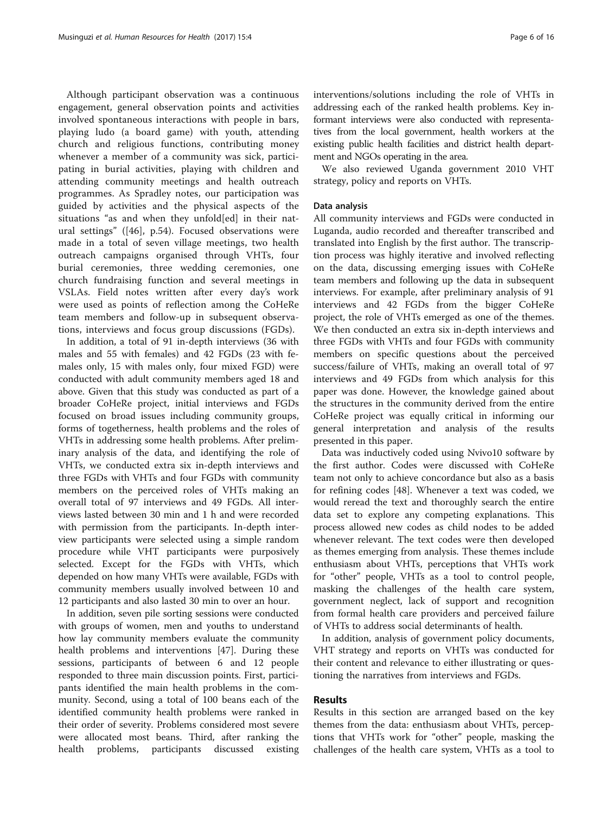Although participant observation was a continuous engagement, general observation points and activities involved spontaneous interactions with people in bars, playing ludo (a board game) with youth, attending church and religious functions, contributing money whenever a member of a community was sick, participating in burial activities, playing with children and attending community meetings and health outreach programmes. As Spradley notes, our participation was guided by activities and the physical aspects of the situations "as and when they unfold[ed] in their natural settings" ([\[46](#page-15-0)], p.54). Focused observations were made in a total of seven village meetings, two health outreach campaigns organised through VHTs, four burial ceremonies, three wedding ceremonies, one church fundraising function and several meetings in VSLAs. Field notes written after every day's work were used as points of reflection among the CoHeRe team members and follow-up in subsequent observations, interviews and focus group discussions (FGDs).

In addition, a total of 91 in-depth interviews (36 with males and 55 with females) and 42 FGDs (23 with females only, 15 with males only, four mixed FGD) were conducted with adult community members aged 18 and above. Given that this study was conducted as part of a broader CoHeRe project, initial interviews and FGDs focused on broad issues including community groups, forms of togetherness, health problems and the roles of VHTs in addressing some health problems. After preliminary analysis of the data, and identifying the role of VHTs, we conducted extra six in-depth interviews and three FGDs with VHTs and four FGDs with community members on the perceived roles of VHTs making an overall total of 97 interviews and 49 FGDs. All interviews lasted between 30 min and 1 h and were recorded with permission from the participants. In-depth interview participants were selected using a simple random procedure while VHT participants were purposively selected. Except for the FGDs with VHTs, which depended on how many VHTs were available, FGDs with community members usually involved between 10 and 12 participants and also lasted 30 min to over an hour.

In addition, seven pile sorting sessions were conducted with groups of women, men and youths to understand how lay community members evaluate the community health problems and interventions [\[47](#page-15-0)]. During these sessions, participants of between 6 and 12 people responded to three main discussion points. First, participants identified the main health problems in the community. Second, using a total of 100 beans each of the identified community health problems were ranked in their order of severity. Problems considered most severe were allocated most beans. Third, after ranking the health problems, participants discussed existing interventions/solutions including the role of VHTs in addressing each of the ranked health problems. Key informant interviews were also conducted with representatives from the local government, health workers at the existing public health facilities and district health department and NGOs operating in the area.

We also reviewed Uganda government 2010 VHT strategy, policy and reports on VHTs.

# Data analysis

All community interviews and FGDs were conducted in Luganda, audio recorded and thereafter transcribed and translated into English by the first author. The transcription process was highly iterative and involved reflecting on the data, discussing emerging issues with CoHeRe team members and following up the data in subsequent interviews. For example, after preliminary analysis of 91 interviews and 42 FGDs from the bigger CoHeRe project, the role of VHTs emerged as one of the themes. We then conducted an extra six in-depth interviews and three FGDs with VHTs and four FGDs with community members on specific questions about the perceived success/failure of VHTs, making an overall total of 97 interviews and 49 FGDs from which analysis for this paper was done. However, the knowledge gained about the structures in the community derived from the entire CoHeRe project was equally critical in informing our general interpretation and analysis of the results presented in this paper.

Data was inductively coded using Nvivo10 software by the first author. Codes were discussed with CoHeRe team not only to achieve concordance but also as a basis for refining codes [[48](#page-15-0)]. Whenever a text was coded, we would reread the text and thoroughly search the entire data set to explore any competing explanations. This process allowed new codes as child nodes to be added whenever relevant. The text codes were then developed as themes emerging from analysis. These themes include enthusiasm about VHTs, perceptions that VHTs work for "other" people, VHTs as a tool to control people, masking the challenges of the health care system, government neglect, lack of support and recognition from formal health care providers and perceived failure of VHTs to address social determinants of health.

In addition, analysis of government policy documents, VHT strategy and reports on VHTs was conducted for their content and relevance to either illustrating or questioning the narratives from interviews and FGDs.

# Results

Results in this section are arranged based on the key themes from the data: enthusiasm about VHTs, perceptions that VHTs work for "other" people, masking the challenges of the health care system, VHTs as a tool to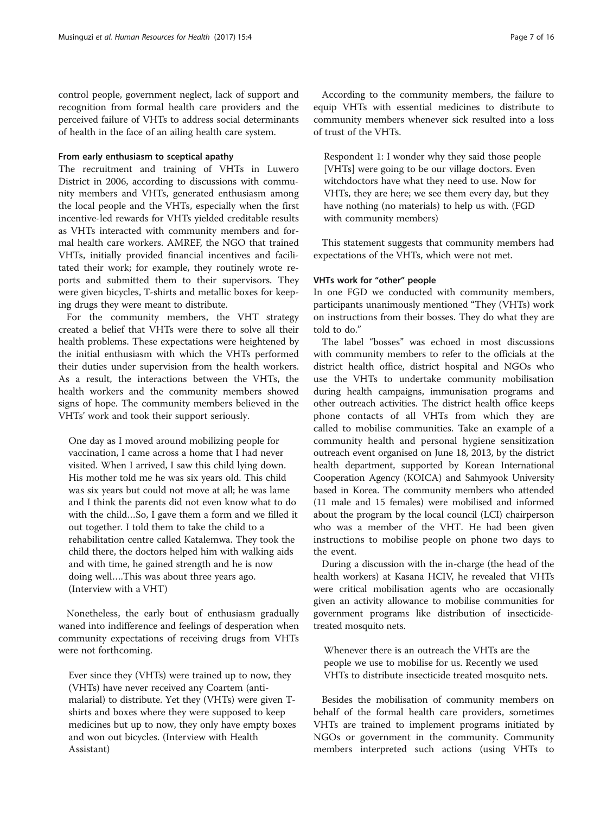control people, government neglect, lack of support and recognition from formal health care providers and the perceived failure of VHTs to address social determinants of health in the face of an ailing health care system.

#### From early enthusiasm to sceptical apathy

The recruitment and training of VHTs in Luwero District in 2006, according to discussions with community members and VHTs, generated enthusiasm among the local people and the VHTs, especially when the first incentive-led rewards for VHTs yielded creditable results as VHTs interacted with community members and formal health care workers. AMREF, the NGO that trained VHTs, initially provided financial incentives and facilitated their work; for example, they routinely wrote reports and submitted them to their supervisors. They were given bicycles, T-shirts and metallic boxes for keeping drugs they were meant to distribute.

For the community members, the VHT strategy created a belief that VHTs were there to solve all their health problems. These expectations were heightened by the initial enthusiasm with which the VHTs performed their duties under supervision from the health workers. As a result, the interactions between the VHTs, the health workers and the community members showed signs of hope. The community members believed in the VHTs' work and took their support seriously.

One day as I moved around mobilizing people for vaccination, I came across a home that I had never visited. When I arrived, I saw this child lying down. His mother told me he was six years old. This child was six years but could not move at all; he was lame and I think the parents did not even know what to do with the child…So, I gave them a form and we filled it out together. I told them to take the child to a rehabilitation centre called Katalemwa. They took the child there, the doctors helped him with walking aids and with time, he gained strength and he is now doing well….This was about three years ago. (Interview with a VHT)

Nonetheless, the early bout of enthusiasm gradually waned into indifference and feelings of desperation when community expectations of receiving drugs from VHTs were not forthcoming.

Ever since they (VHTs) were trained up to now, they (VHTs) have never received any Coartem (antimalarial) to distribute. Yet they (VHTs) were given Tshirts and boxes where they were supposed to keep medicines but up to now, they only have empty boxes and won out bicycles. (Interview with Health Assistant)

According to the community members, the failure to equip VHTs with essential medicines to distribute to community members whenever sick resulted into a loss of trust of the VHTs.

Respondent 1: I wonder why they said those people [VHTs] were going to be our village doctors. Even witchdoctors have what they need to use. Now for VHTs, they are here; we see them every day, but they have nothing (no materials) to help us with. (FGD with community members)

This statement suggests that community members had expectations of the VHTs, which were not met.

#### VHTs work for "other" people

In one FGD we conducted with community members, participants unanimously mentioned "They (VHTs) work on instructions from their bosses. They do what they are told to do."

The label "bosses" was echoed in most discussions with community members to refer to the officials at the district health office, district hospital and NGOs who use the VHTs to undertake community mobilisation during health campaigns, immunisation programs and other outreach activities. The district health office keeps phone contacts of all VHTs from which they are called to mobilise communities. Take an example of a community health and personal hygiene sensitization outreach event organised on June 18, 2013, by the district health department, supported by Korean International Cooperation Agency (KOICA) and Sahmyook University based in Korea. The community members who attended (11 male and 15 females) were mobilised and informed about the program by the local council (LCI) chairperson who was a member of the VHT. He had been given instructions to mobilise people on phone two days to the event.

During a discussion with the in-charge (the head of the health workers) at Kasana HCIV, he revealed that VHTs were critical mobilisation agents who are occasionally given an activity allowance to mobilise communities for government programs like distribution of insecticidetreated mosquito nets.

Whenever there is an outreach the VHTs are the people we use to mobilise for us. Recently we used VHTs to distribute insecticide treated mosquito nets.

Besides the mobilisation of community members on behalf of the formal health care providers, sometimes VHTs are trained to implement programs initiated by NGOs or government in the community. Community members interpreted such actions (using VHTs to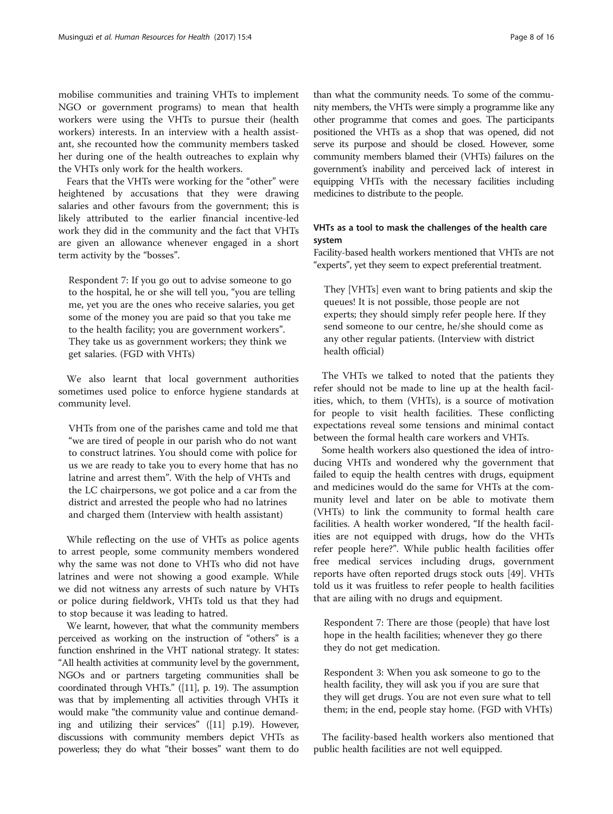mobilise communities and training VHTs to implement NGO or government programs) to mean that health workers were using the VHTs to pursue their (health workers) interests. In an interview with a health assistant, she recounted how the community members tasked her during one of the health outreaches to explain why the VHTs only work for the health workers.

Fears that the VHTs were working for the "other" were heightened by accusations that they were drawing salaries and other favours from the government; this is likely attributed to the earlier financial incentive-led work they did in the community and the fact that VHTs are given an allowance whenever engaged in a short term activity by the "bosses".

Respondent 7: If you go out to advise someone to go to the hospital, he or she will tell you, "you are telling me, yet you are the ones who receive salaries, you get some of the money you are paid so that you take me to the health facility; you are government workers". They take us as government workers; they think we get salaries. (FGD with VHTs)

We also learnt that local government authorities sometimes used police to enforce hygiene standards at community level.

VHTs from one of the parishes came and told me that "we are tired of people in our parish who do not want to construct latrines. You should come with police for us we are ready to take you to every home that has no latrine and arrest them". With the help of VHTs and the LC chairpersons, we got police and a car from the district and arrested the people who had no latrines and charged them (Interview with health assistant)

While reflecting on the use of VHTs as police agents to arrest people, some community members wondered why the same was not done to VHTs who did not have latrines and were not showing a good example. While we did not witness any arrests of such nature by VHTs or police during fieldwork, VHTs told us that they had to stop because it was leading to hatred.

We learnt, however, that what the community members perceived as working on the instruction of "others" is a function enshrined in the VHT national strategy. It states: "All health activities at community level by the government, NGOs and or partners targeting communities shall be coordinated through VHTs." ([\[11\]](#page-15-0), p. 19). The assumption was that by implementing all activities through VHTs it would make "the community value and continue demanding and utilizing their services" ([\[11\]](#page-15-0) p.19). However, discussions with community members depict VHTs as powerless; they do what "their bosses" want them to do

than what the community needs. To some of the community members, the VHTs were simply a programme like any other programme that comes and goes. The participants positioned the VHTs as a shop that was opened, did not serve its purpose and should be closed. However, some community members blamed their (VHTs) failures on the government's inability and perceived lack of interest in equipping VHTs with the necessary facilities including medicines to distribute to the people.

# VHTs as a tool to mask the challenges of the health care system

Facility-based health workers mentioned that VHTs are not "experts", yet they seem to expect preferential treatment.

They [VHTs] even want to bring patients and skip the queues! It is not possible, those people are not experts; they should simply refer people here. If they send someone to our centre, he/she should come as any other regular patients. (Interview with district health official)

The VHTs we talked to noted that the patients they refer should not be made to line up at the health facilities, which, to them (VHTs), is a source of motivation for people to visit health facilities. These conflicting expectations reveal some tensions and minimal contact between the formal health care workers and VHTs.

Some health workers also questioned the idea of introducing VHTs and wondered why the government that failed to equip the health centres with drugs, equipment and medicines would do the same for VHTs at the community level and later on be able to motivate them (VHTs) to link the community to formal health care facilities. A health worker wondered, "If the health facilities are not equipped with drugs, how do the VHTs refer people here?". While public health facilities offer free medical services including drugs, government reports have often reported drugs stock outs [\[49](#page-15-0)]. VHTs told us it was fruitless to refer people to health facilities that are ailing with no drugs and equipment.

Respondent 7: There are those (people) that have lost hope in the health facilities; whenever they go there they do not get medication.

Respondent 3: When you ask someone to go to the health facility, they will ask you if you are sure that they will get drugs. You are not even sure what to tell them; in the end, people stay home. (FGD with VHTs)

The facility-based health workers also mentioned that public health facilities are not well equipped.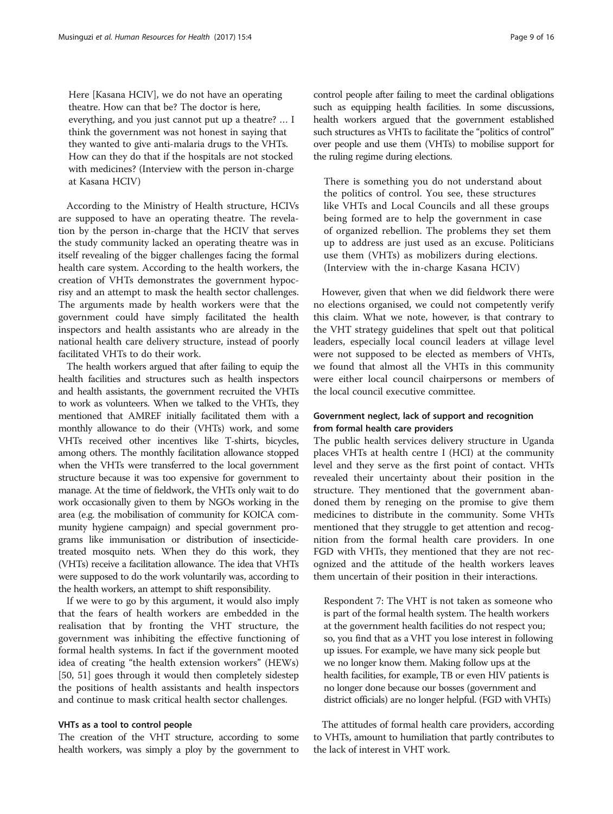Here [Kasana HCIV], we do not have an operating theatre. How can that be? The doctor is here, everything, and you just cannot put up a theatre? … I think the government was not honest in saying that they wanted to give anti-malaria drugs to the VHTs. How can they do that if the hospitals are not stocked with medicines? (Interview with the person in-charge at Kasana HCIV)

According to the Ministry of Health structure, HCIVs are supposed to have an operating theatre. The revelation by the person in-charge that the HCIV that serves the study community lacked an operating theatre was in itself revealing of the bigger challenges facing the formal health care system. According to the health workers, the creation of VHTs demonstrates the government hypocrisy and an attempt to mask the health sector challenges. The arguments made by health workers were that the government could have simply facilitated the health inspectors and health assistants who are already in the national health care delivery structure, instead of poorly facilitated VHTs to do their work.

The health workers argued that after failing to equip the health facilities and structures such as health inspectors and health assistants, the government recruited the VHTs to work as volunteers. When we talked to the VHTs, they mentioned that AMREF initially facilitated them with a monthly allowance to do their (VHTs) work, and some VHTs received other incentives like T-shirts, bicycles, among others. The monthly facilitation allowance stopped when the VHTs were transferred to the local government structure because it was too expensive for government to manage. At the time of fieldwork, the VHTs only wait to do work occasionally given to them by NGOs working in the area (e.g. the mobilisation of community for KOICA community hygiene campaign) and special government programs like immunisation or distribution of insecticidetreated mosquito nets. When they do this work, they (VHTs) receive a facilitation allowance. The idea that VHTs were supposed to do the work voluntarily was, according to the health workers, an attempt to shift responsibility.

If we were to go by this argument, it would also imply that the fears of health workers are embedded in the realisation that by fronting the VHT structure, the government was inhibiting the effective functioning of formal health systems. In fact if the government mooted idea of creating "the health extension workers" (HEWs) [[50, 51](#page-15-0)] goes through it would then completely sidestep the positions of health assistants and health inspectors and continue to mask critical health sector challenges.

#### VHTs as a tool to control people

The creation of the VHT structure, according to some health workers, was simply a ploy by the government to control people after failing to meet the cardinal obligations such as equipping health facilities. In some discussions, health workers argued that the government established such structures as VHTs to facilitate the "politics of control" over people and use them (VHTs) to mobilise support for the ruling regime during elections.

There is something you do not understand about the politics of control. You see, these structures like VHTs and Local Councils and all these groups being formed are to help the government in case of organized rebellion. The problems they set them up to address are just used as an excuse. Politicians use them (VHTs) as mobilizers during elections. (Interview with the in-charge Kasana HCIV)

However, given that when we did fieldwork there were no elections organised, we could not competently verify this claim. What we note, however, is that contrary to the VHT strategy guidelines that spelt out that political leaders, especially local council leaders at village level were not supposed to be elected as members of VHTs, we found that almost all the VHTs in this community were either local council chairpersons or members of the local council executive committee.

# Government neglect, lack of support and recognition from formal health care providers

The public health services delivery structure in Uganda places VHTs at health centre I (HCI) at the community level and they serve as the first point of contact. VHTs revealed their uncertainty about their position in the structure. They mentioned that the government abandoned them by reneging on the promise to give them medicines to distribute in the community. Some VHTs mentioned that they struggle to get attention and recognition from the formal health care providers. In one FGD with VHTs, they mentioned that they are not recognized and the attitude of the health workers leaves them uncertain of their position in their interactions.

Respondent 7: The VHT is not taken as someone who is part of the formal health system. The health workers at the government health facilities do not respect you; so, you find that as a VHT you lose interest in following up issues. For example, we have many sick people but we no longer know them. Making follow ups at the health facilities, for example, TB or even HIV patients is no longer done because our bosses (government and district officials) are no longer helpful. (FGD with VHTs)

The attitudes of formal health care providers, according to VHTs, amount to humiliation that partly contributes to the lack of interest in VHT work.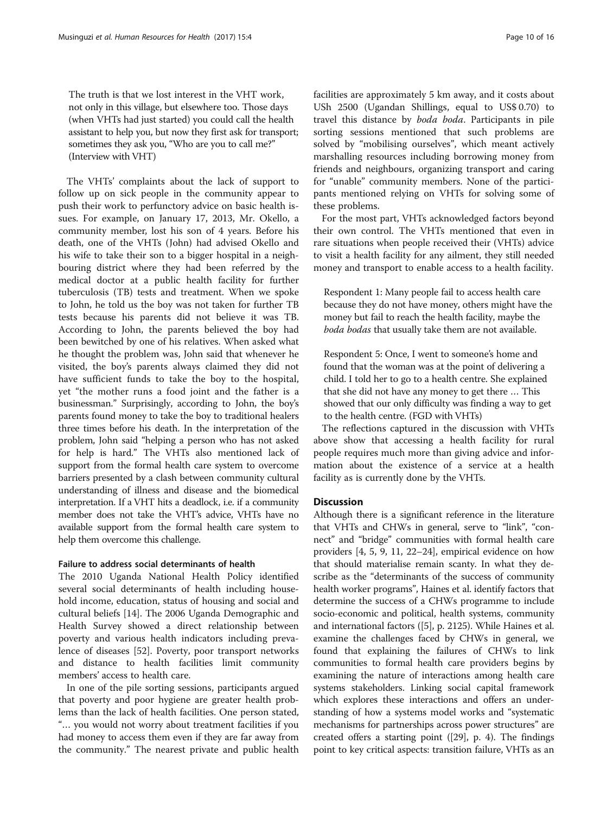The truth is that we lost interest in the VHT work, not only in this village, but elsewhere too. Those days (when VHTs had just started) you could call the health assistant to help you, but now they first ask for transport; sometimes they ask you, "Who are you to call me?" (Interview with VHT)

The VHTs' complaints about the lack of support to follow up on sick people in the community appear to push their work to perfunctory advice on basic health issues. For example, on January 17, 2013, Mr. Okello, a community member, lost his son of 4 years. Before his death, one of the VHTs (John) had advised Okello and his wife to take their son to a bigger hospital in a neighbouring district where they had been referred by the medical doctor at a public health facility for further tuberculosis (TB) tests and treatment. When we spoke to John, he told us the boy was not taken for further TB tests because his parents did not believe it was TB. According to John, the parents believed the boy had been bewitched by one of his relatives. When asked what he thought the problem was, John said that whenever he visited, the boy's parents always claimed they did not have sufficient funds to take the boy to the hospital, yet "the mother runs a food joint and the father is a businessman." Surprisingly, according to John, the boy's parents found money to take the boy to traditional healers three times before his death. In the interpretation of the problem, John said "helping a person who has not asked for help is hard." The VHTs also mentioned lack of support from the formal health care system to overcome barriers presented by a clash between community cultural understanding of illness and disease and the biomedical interpretation. If a VHT hits a deadlock, i.e. if a community member does not take the VHT's advice, VHTs have no available support from the formal health care system to help them overcome this challenge.

#### Failure to address social determinants of health

The 2010 Uganda National Health Policy identified several social determinants of health including household income, education, status of housing and social and cultural beliefs [\[14\]](#page-15-0). The 2006 Uganda Demographic and Health Survey showed a direct relationship between poverty and various health indicators including prevalence of diseases [[52\]](#page-15-0). Poverty, poor transport networks and distance to health facilities limit community members' access to health care.

In one of the pile sorting sessions, participants argued that poverty and poor hygiene are greater health problems than the lack of health facilities. One person stated, "… you would not worry about treatment facilities if you had money to access them even if they are far away from the community." The nearest private and public health facilities are approximately 5 km away, and it costs about USh 2500 (Ugandan Shillings, equal to US\$ 0.70) to travel this distance by boda boda. Participants in pile sorting sessions mentioned that such problems are solved by "mobilising ourselves", which meant actively marshalling resources including borrowing money from friends and neighbours, organizing transport and caring for "unable" community members. None of the participants mentioned relying on VHTs for solving some of these problems.

For the most part, VHTs acknowledged factors beyond their own control. The VHTs mentioned that even in rare situations when people received their (VHTs) advice to visit a health facility for any ailment, they still needed money and transport to enable access to a health facility.

Respondent 1: Many people fail to access health care because they do not have money, others might have the money but fail to reach the health facility, maybe the boda bodas that usually take them are not available.

Respondent 5: Once, I went to someone's home and found that the woman was at the point of delivering a child. I told her to go to a health centre. She explained that she did not have any money to get there … This showed that our only difficulty was finding a way to get to the health centre. (FGD with VHTs)

The reflections captured in the discussion with VHTs above show that accessing a health facility for rural people requires much more than giving advice and information about the existence of a service at a health facility as is currently done by the VHTs.

# **Discussion**

Although there is a significant reference in the literature that VHTs and CHWs in general, serve to "link", "connect" and "bridge" communities with formal health care providers [[4](#page-14-0), [5,](#page-14-0) [9](#page-15-0), [11](#page-15-0), [22](#page-15-0)–[24](#page-15-0)], empirical evidence on how that should materialise remain scanty. In what they describe as the "determinants of the success of community health worker programs", Haines et al. identify factors that determine the success of a CHWs programme to include socio-economic and political, health systems, community and international factors ([\[5\]](#page-14-0), p. 2125). While Haines et al. examine the challenges faced by CHWs in general, we found that explaining the failures of CHWs to link communities to formal health care providers begins by examining the nature of interactions among health care systems stakeholders. Linking social capital framework which explores these interactions and offers an understanding of how a systems model works and "systematic mechanisms for partnerships across power structures" are created offers a starting point ([[29](#page-15-0)], p. 4). The findings point to key critical aspects: transition failure, VHTs as an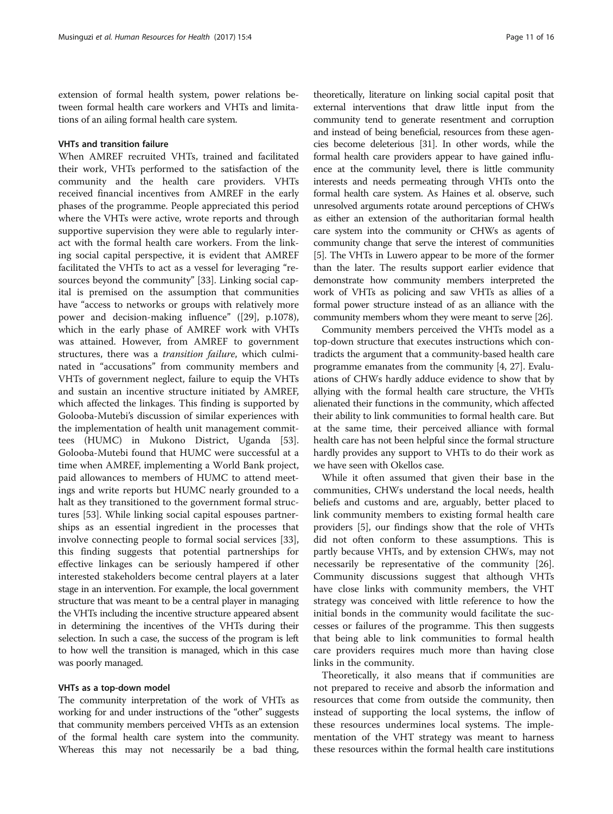extension of formal health system, power relations between formal health care workers and VHTs and limitations of an ailing formal health care system.

# VHTs and transition failure

When AMREF recruited VHTs, trained and facilitated their work, VHTs performed to the satisfaction of the community and the health care providers. VHTs received financial incentives from AMREF in the early phases of the programme. People appreciated this period where the VHTs were active, wrote reports and through supportive supervision they were able to regularly interact with the formal health care workers. From the linking social capital perspective, it is evident that AMREF facilitated the VHTs to act as a vessel for leveraging "resources beyond the community" [\[33\]](#page-15-0). Linking social capital is premised on the assumption that communities have "access to networks or groups with relatively more power and decision-making influence" ([[29\]](#page-15-0), p.1078), which in the early phase of AMREF work with VHTs was attained. However, from AMREF to government structures, there was a transition failure, which culminated in "accusations" from community members and VHTs of government neglect, failure to equip the VHTs and sustain an incentive structure initiated by AMREF, which affected the linkages. This finding is supported by Golooba-Mutebi's discussion of similar experiences with the implementation of health unit management committees (HUMC) in Mukono District, Uganda [\[53](#page-15-0)]. Golooba-Mutebi found that HUMC were successful at a time when AMREF, implementing a World Bank project, paid allowances to members of HUMC to attend meetings and write reports but HUMC nearly grounded to a halt as they transitioned to the government formal structures [[53](#page-15-0)]. While linking social capital espouses partnerships as an essential ingredient in the processes that involve connecting people to formal social services [\[33](#page-15-0)], this finding suggests that potential partnerships for effective linkages can be seriously hampered if other interested stakeholders become central players at a later stage in an intervention. For example, the local government structure that was meant to be a central player in managing the VHTs including the incentive structure appeared absent in determining the incentives of the VHTs during their selection. In such a case, the success of the program is left to how well the transition is managed, which in this case was poorly managed.

#### VHTs as a top-down model

The community interpretation of the work of VHTs as working for and under instructions of the "other" suggests that community members perceived VHTs as an extension of the formal health care system into the community. Whereas this may not necessarily be a bad thing,

theoretically, literature on linking social capital posit that external interventions that draw little input from the community tend to generate resentment and corruption and instead of being beneficial, resources from these agencies become deleterious [\[31\]](#page-15-0). In other words, while the formal health care providers appear to have gained influence at the community level, there is little community interests and needs permeating through VHTs onto the formal health care system. As Haines et al. observe, such unresolved arguments rotate around perceptions of CHWs as either an extension of the authoritarian formal health care system into the community or CHWs as agents of community change that serve the interest of communities [[5](#page-14-0)]. The VHTs in Luwero appear to be more of the former than the later. The results support earlier evidence that demonstrate how community members interpreted the work of VHTs as policing and saw VHTs as allies of a formal power structure instead of as an alliance with the community members whom they were meant to serve [[26](#page-15-0)].

Community members perceived the VHTs model as a top-down structure that executes instructions which contradicts the argument that a community-based health care programme emanates from the community [[4](#page-14-0), [27](#page-15-0)]. Evaluations of CHWs hardly adduce evidence to show that by allying with the formal health care structure, the VHTs alienated their functions in the community, which affected their ability to link communities to formal health care. But at the same time, their perceived alliance with formal health care has not been helpful since the formal structure hardly provides any support to VHTs to do their work as we have seen with Okellos case.

While it often assumed that given their base in the communities, CHWs understand the local needs, health beliefs and customs and are, arguably, better placed to link community members to existing formal health care providers [\[5](#page-14-0)], our findings show that the role of VHTs did not often conform to these assumptions. This is partly because VHTs, and by extension CHWs, may not necessarily be representative of the community [\[26](#page-15-0)]. Community discussions suggest that although VHTs have close links with community members, the VHT strategy was conceived with little reference to how the initial bonds in the community would facilitate the successes or failures of the programme. This then suggests that being able to link communities to formal health care providers requires much more than having close links in the community.

Theoretically, it also means that if communities are not prepared to receive and absorb the information and resources that come from outside the community, then instead of supporting the local systems, the inflow of these resources undermines local systems. The implementation of the VHT strategy was meant to harness these resources within the formal health care institutions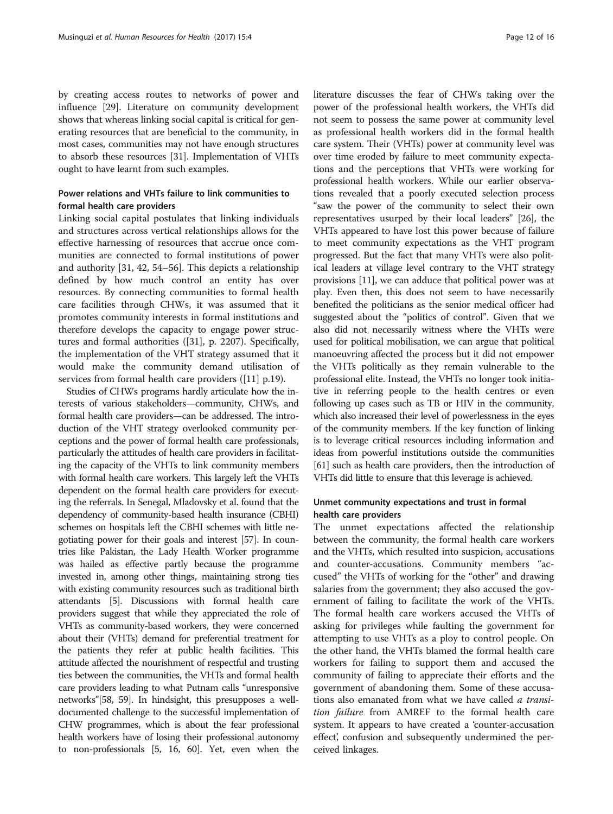by creating access routes to networks of power and influence [[29\]](#page-15-0). Literature on community development shows that whereas linking social capital is critical for generating resources that are beneficial to the community, in most cases, communities may not have enough structures to absorb these resources [\[31](#page-15-0)]. Implementation of VHTs ought to have learnt from such examples.

# Power relations and VHTs failure to link communities to formal health care providers

Linking social capital postulates that linking individuals and structures across vertical relationships allows for the effective harnessing of resources that accrue once communities are connected to formal institutions of power and authority [\[31, 42, 54](#page-15-0)–[56\]](#page-15-0). This depicts a relationship defined by how much control an entity has over resources. By connecting communities to formal health care facilities through CHWs, it was assumed that it promotes community interests in formal institutions and therefore develops the capacity to engage power structures and formal authorities ([[31\]](#page-15-0), p. 2207). Specifically, the implementation of the VHT strategy assumed that it would make the community demand utilisation of services from formal health care providers ([\[11](#page-15-0)] p.19).

Studies of CHWs programs hardly articulate how the interests of various stakeholders—community, CHWs, and formal health care providers—can be addressed. The introduction of the VHT strategy overlooked community perceptions and the power of formal health care professionals, particularly the attitudes of health care providers in facilitating the capacity of the VHTs to link community members with formal health care workers. This largely left the VHTs dependent on the formal health care providers for executing the referrals. In Senegal, Mladovsky et al. found that the dependency of community-based health insurance (CBHI) schemes on hospitals left the CBHI schemes with little negotiating power for their goals and interest [\[57\]](#page-15-0). In countries like Pakistan, the Lady Health Worker programme was hailed as effective partly because the programme invested in, among other things, maintaining strong ties with existing community resources such as traditional birth attendants [\[5\]](#page-14-0). Discussions with formal health care providers suggest that while they appreciated the role of VHTs as community-based workers, they were concerned about their (VHTs) demand for preferential treatment for the patients they refer at public health facilities. This attitude affected the nourishment of respectful and trusting ties between the communities, the VHTs and formal health care providers leading to what Putnam calls "unresponsive networks"[\[58](#page-15-0), [59\]](#page-15-0). In hindsight, this presupposes a welldocumented challenge to the successful implementation of CHW programmes, which is about the fear professional health workers have of losing their professional autonomy to non-professionals [\[5,](#page-14-0) [16](#page-15-0), [60](#page-15-0)]. Yet, even when the

literature discusses the fear of CHWs taking over the power of the professional health workers, the VHTs did not seem to possess the same power at community level as professional health workers did in the formal health care system. Their (VHTs) power at community level was over time eroded by failure to meet community expectations and the perceptions that VHTs were working for professional health workers. While our earlier observations revealed that a poorly executed selection process "saw the power of the community to select their own representatives usurped by their local leaders" [\[26\]](#page-15-0), the VHTs appeared to have lost this power because of failure to meet community expectations as the VHT program progressed. But the fact that many VHTs were also political leaders at village level contrary to the VHT strategy provisions [[11](#page-15-0)], we can adduce that political power was at play. Even then, this does not seem to have necessarily benefited the politicians as the senior medical officer had suggested about the "politics of control". Given that we also did not necessarily witness where the VHTs were used for political mobilisation, we can argue that political manoeuvring affected the process but it did not empower the VHTs politically as they remain vulnerable to the professional elite. Instead, the VHTs no longer took initiative in referring people to the health centres or even following up cases such as TB or HIV in the community, which also increased their level of powerlessness in the eyes of the community members. If the key function of linking is to leverage critical resources including information and ideas from powerful institutions outside the communities [[61](#page-16-0)] such as health care providers, then the introduction of VHTs did little to ensure that this leverage is achieved.

# Unmet community expectations and trust in formal health care providers

The unmet expectations affected the relationship between the community, the formal health care workers and the VHTs, which resulted into suspicion, accusations and counter-accusations. Community members "accused" the VHTs of working for the "other" and drawing salaries from the government; they also accused the government of failing to facilitate the work of the VHTs. The formal health care workers accused the VHTs of asking for privileges while faulting the government for attempting to use VHTs as a ploy to control people. On the other hand, the VHTs blamed the formal health care workers for failing to support them and accused the community of failing to appreciate their efforts and the government of abandoning them. Some of these accusations also emanated from what we have called a transition failure from AMREF to the formal health care system. It appears to have created a 'counter-accusation effect', confusion and subsequently undermined the perceived linkages.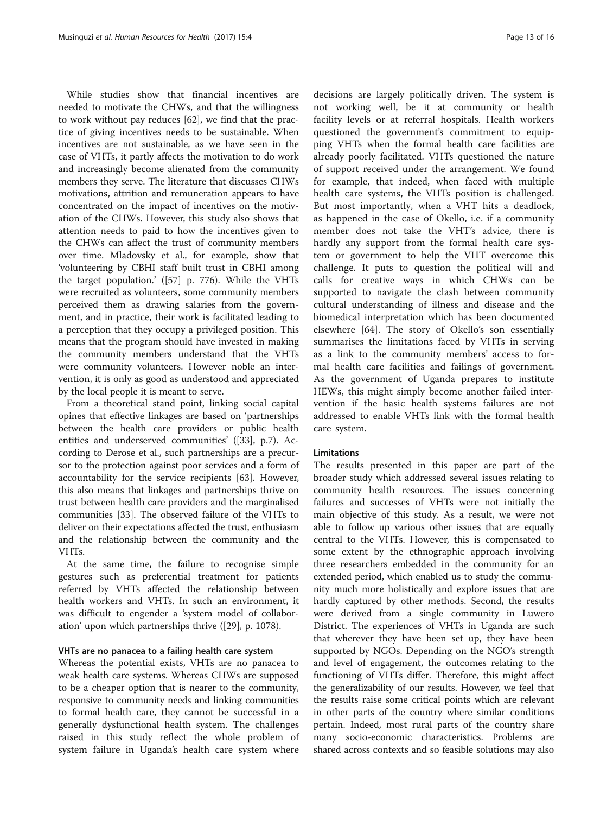While studies show that financial incentives are needed to motivate the CHWs, and that the willingness to work without pay reduces [[62\]](#page-16-0), we find that the practice of giving incentives needs to be sustainable. When incentives are not sustainable, as we have seen in the case of VHTs, it partly affects the motivation to do work and increasingly become alienated from the community members they serve. The literature that discusses CHWs motivations, attrition and remuneration appears to have concentrated on the impact of incentives on the motivation of the CHWs. However, this study also shows that attention needs to paid to how the incentives given to the CHWs can affect the trust of community members over time. Mladovsky et al., for example, show that 'volunteering by CBHI staff built trust in CBHI among the target population.' ([\[57\]](#page-15-0) p. 776). While the VHTs were recruited as volunteers, some community members perceived them as drawing salaries from the government, and in practice, their work is facilitated leading to a perception that they occupy a privileged position. This means that the program should have invested in making the community members understand that the VHTs were community volunteers. However noble an intervention, it is only as good as understood and appreciated by the local people it is meant to serve.

From a theoretical stand point, linking social capital opines that effective linkages are based on 'partnerships between the health care providers or public health entities and underserved communities' ([[33\]](#page-15-0), p.7). According to Derose et al., such partnerships are a precursor to the protection against poor services and a form of accountability for the service recipients [[63](#page-16-0)]. However, this also means that linkages and partnerships thrive on trust between health care providers and the marginalised communities [[33\]](#page-15-0). The observed failure of the VHTs to deliver on their expectations affected the trust, enthusiasm and the relationship between the community and the VHTs.

At the same time, the failure to recognise simple gestures such as preferential treatment for patients referred by VHTs affected the relationship between health workers and VHTs. In such an environment, it was difficult to engender a 'system model of collaboration' upon which partnerships thrive ([\[29\]](#page-15-0), p. 1078).

#### VHTs are no panacea to a failing health care system

Whereas the potential exists, VHTs are no panacea to weak health care systems. Whereas CHWs are supposed to be a cheaper option that is nearer to the community, responsive to community needs and linking communities to formal health care, they cannot be successful in a generally dysfunctional health system. The challenges raised in this study reflect the whole problem of system failure in Uganda's health care system where decisions are largely politically driven. The system is not working well, be it at community or health facility levels or at referral hospitals. Health workers questioned the government's commitment to equipping VHTs when the formal health care facilities are already poorly facilitated. VHTs questioned the nature of support received under the arrangement. We found for example, that indeed, when faced with multiple health care systems, the VHTs position is challenged. But most importantly, when a VHT hits a deadlock, as happened in the case of Okello, i.e. if a community member does not take the VHT's advice, there is hardly any support from the formal health care system or government to help the VHT overcome this challenge. It puts to question the political will and calls for creative ways in which CHWs can be supported to navigate the clash between community cultural understanding of illness and disease and the biomedical interpretation which has been documented elsewhere [\[64](#page-16-0)]. The story of Okello's son essentially summarises the limitations faced by VHTs in serving as a link to the community members' access to formal health care facilities and failings of government. As the government of Uganda prepares to institute HEWs, this might simply become another failed intervention if the basic health systems failures are not addressed to enable VHTs link with the formal health care system.

#### Limitations

The results presented in this paper are part of the broader study which addressed several issues relating to community health resources. The issues concerning failures and successes of VHTs were not initially the main objective of this study. As a result, we were not able to follow up various other issues that are equally central to the VHTs. However, this is compensated to some extent by the ethnographic approach involving three researchers embedded in the community for an extended period, which enabled us to study the community much more holistically and explore issues that are hardly captured by other methods. Second, the results were derived from a single community in Luwero District. The experiences of VHTs in Uganda are such that wherever they have been set up, they have been supported by NGOs. Depending on the NGO's strength and level of engagement, the outcomes relating to the functioning of VHTs differ. Therefore, this might affect the generalizability of our results. However, we feel that the results raise some critical points which are relevant in other parts of the country where similar conditions pertain. Indeed, most rural parts of the country share many socio-economic characteristics. Problems are shared across contexts and so feasible solutions may also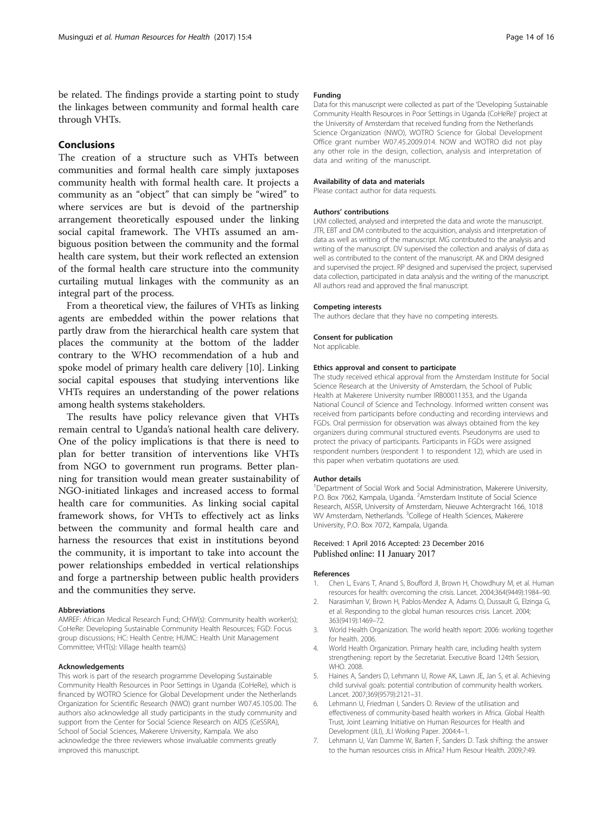<span id="page-14-0"></span>be related. The findings provide a starting point to study the linkages between community and formal health care through VHTs.

# Conclusions

The creation of a structure such as VHTs between communities and formal health care simply juxtaposes community health with formal health care. It projects a community as an "object" that can simply be "wired" to where services are but is devoid of the partnership arrangement theoretically espoused under the linking social capital framework. The VHTs assumed an ambiguous position between the community and the formal health care system, but their work reflected an extension of the formal health care structure into the community curtailing mutual linkages with the community as an integral part of the process.

From a theoretical view, the failures of VHTs as linking agents are embedded within the power relations that partly draw from the hierarchical health care system that places the community at the bottom of the ladder contrary to the WHO recommendation of a hub and spoke model of primary health care delivery [\[10\]](#page-15-0). Linking social capital espouses that studying interventions like VHTs requires an understanding of the power relations among health systems stakeholders.

The results have policy relevance given that VHTs remain central to Uganda's national health care delivery. One of the policy implications is that there is need to plan for better transition of interventions like VHTs from NGO to government run programs. Better planning for transition would mean greater sustainability of NGO-initiated linkages and increased access to formal health care for communities. As linking social capital framework shows, for VHTs to effectively act as links between the community and formal health care and harness the resources that exist in institutions beyond the community, it is important to take into account the power relationships embedded in vertical relationships and forge a partnership between public health providers and the communities they serve.

#### Abbreviations

AMREF: African Medical Research Fund; CHW(s): Community health worker(s); CoHeRe: Developing Sustainable Community Health Resources; FGD: Focus group discussions; HC: Health Centre; HUMC: Health Unit Management Committee; VHT(s): Village health team(s)

#### Acknowledgements

This work is part of the research programme Developing Sustainable Community Health Resources in Poor Settings in Uganda (CoHeRe), which is financed by WOTRO Science for Global Development under the Netherlands Organization for Scientific Research (NWO) grant number W07.45.105.00. The authors also acknowledge all study participants in the study community and support from the Center for Social Science Research on AIDS (CeSSRA), School of Social Sciences, Makerere University, Kampala. We also acknowledge the three reviewers whose invaluable comments greatly improved this manuscript.

#### Funding

Data for this manuscript were collected as part of the 'Developing Sustainable Community Health Resources in Poor Settings in Uganda (CoHeRe)' project at the University of Amsterdam that received funding from the Netherlands Science Organization (NWO), WOTRO Science for Global Development Office grant number W07.45.2009.014. NOW and WOTRO did not play any other role in the design, collection, analysis and interpretation of data and writing of the manuscript.

#### Availability of data and materials

Please contact author for data requests.

#### Authors' contributions

LKM collected, analysed and interpreted the data and wrote the manuscript. JTR, EBT and DM contributed to the acquisition, analysis and interpretation of data as well as writing of the manuscript. MG contributed to the analysis and writing of the manuscript. DV supervised the collection and analysis of data as well as contributed to the content of the manuscript. AK and DKM designed and supervised the project. RP designed and supervised the project, supervised data collection, participated in data analysis and the writing of the manuscript. All authors read and approved the final manuscript.

#### Competing interests

The authors declare that they have no competing interests.

# Consent for publication

Not applicable.

#### Ethics approval and consent to participate

The study received ethical approval from the Amsterdam Institute for Social Science Research at the University of Amsterdam, the School of Public Health at Makerere University number IRB00011353, and the Uganda National Council of Science and Technology. Informed written consent was received from participants before conducting and recording interviews and FGDs. Oral permission for observation was always obtained from the key organizers during communal structured events. Pseudonyms are used to protect the privacy of participants. Participants in FGDs were assigned respondent numbers (respondent 1 to respondent 12), which are used in this paper when verbatim quotations are used.

#### Author details

<sup>1</sup>Department of Social Work and Social Administration, Makerere University P.O. Box 7062, Kampala, Uganda. <sup>2</sup> Amsterdam Institute of Social Science Research, AISSR, University of Amsterdam, Nieuwe Achtergracht 166, 1018 WV Amsterdam, Netherlands. <sup>3</sup>College of Health Sciences, Makerere University, P.O. Box 7072, Kampala, Uganda.

#### Received: 1 April 2016 Accepted: 23 December 2016 Published online: 11 January 2017

#### References

- 1. Chen L, Evans T, Anand S, Boufford JI, Brown H, Chowdhury M, et al. Human resources for health: overcoming the crisis. Lancet. 2004;364(9449):1984–90.
- 2. Narasimhan V, Brown H, Pablos-Mendez A, Adams O, Dussault G, Elzinga G, et al. Responding to the global human resources crisis. Lancet. 2004; 363(9419):1469–72.
- 3. World Health Organization. The world health report: 2006: working together for health. 2006.
- 4. World Health Organization. Primary health care, including health system strengthening: report by the Secretariat. Executive Board 124th Session, WHO. 2008.
- 5. Haines A, Sanders D, Lehmann U, Rowe AK, Lawn JE, Jan S, et al. Achieving child survival goals: potential contribution of community health workers. Lancet. 2007;369(9579):2121–31.
- 6. Lehmann U, Friedman I, Sanders D. Review of the utilisation and effectiveness of community-based health workers in Africa. Global Health Trust, Joint Learning Initiative on Human Resources for Health and Development (JLI), JLI Working Paper. 2004:4–1.
- 7. Lehmann U, Van Damme W, Barten F, Sanders D. Task shifting: the answer to the human resources crisis in Africa? Hum Resour Health. 2009;7:49.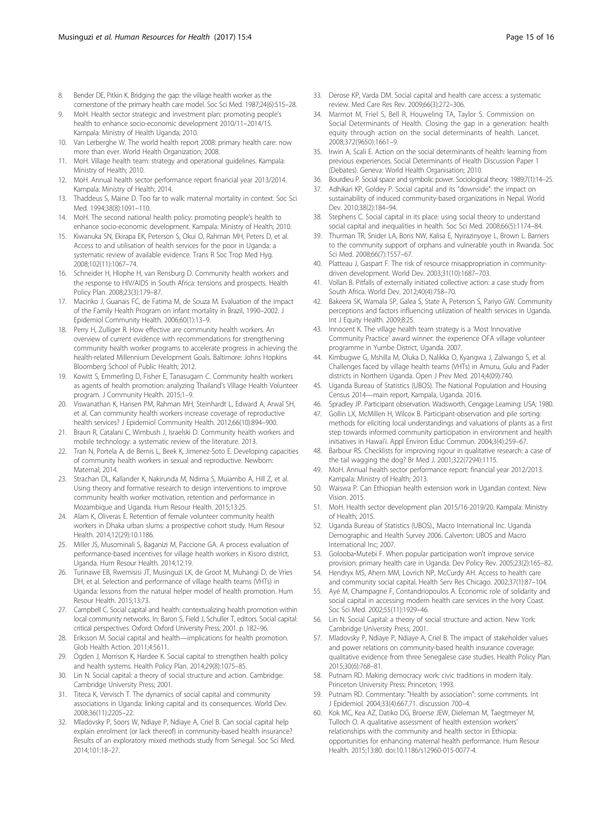- <span id="page-15-0"></span>8. Bender DE, Pitkin K. Bridging the gap: the village health worker as the cornerstone of the primary health care model. Soc Sci Med. 1987;24(6):515–28.
- 9. MoH. Health sector strategic and investment plan: promoting people's health to enhance socio-economic development 2010/11–2014/15. Kampala: Ministry of Health Uganda; 2010.
- 10. Van Lerberghe W. The world health report 2008: primary health care: now more than ever. World Health Organization; 2008.
- 11. MoH. Village health team: strategy and operational guidelines. Kampala: Ministry of Health; 2010.
- 12. MoH. Annual health sector performance report financial year 2013/2014. Kampala: Ministry of Health; 2014.
- 13. Thaddeus S, Maine D. Too far to walk: maternal mortality in context. Soc Sci Med. 1994;38(8):1091–110.
- 14. MoH. The second national health policy: promoting people's health to enhance socio-economic development. Kampala: Ministry of Health; 2010.
- 15. Kiwanuka SN, Ekirapa EK, Peterson S, Okui O, Rahman MH, Peters D, et al. Access to and utilisation of health services for the poor in Uganda: a systematic review of available evidence. Trans R Soc Trop Med Hyg. 2008;102(11):1067–74.
- 16. Schneider H, Hlophe H, van Rensburg D. Community health workers and the response to HIV/AIDS in South Africa: tensions and prospects. Health Policy Plan. 2008;23(3):179–87.
- 17. Macinko J, Guanais FC, de Fatima M, de Souza M. Evaluation of the impact of the Family Health Program on infant mortality in Brazil, 1990–2002. J Epidemiol Community Health. 2006;60(1):13–9.
- 18. Perry H, Zulliger R. How effective are community health workers. An overview of current evidence with recommendations for strengthening community health worker programs to accelerate progress in achieving the health-related Millennium Development Goals. Baltimore: Johns Hopkins Bloomberg School of Public Health; 2012.
- 19. Kowitt S, Emmerling D, Fisher E, Tanasugarn C. Community health workers as agents of health promotion: analyzing Thailand's Village Health Volunteer program. J Community Health. 2015;1–9.
- 20. Viswanathan K, Hansen PM, Rahman MH, Steinhardt L, Edward A, Arwal SH, et al. Can community health workers increase coverage of reproductive health services? J Epidemiol Community Health. 2012;66(10):894–900.
- 21. Braun R, Catalani C, Wimbush J, Israelski D. Community health workers and mobile technology: a systematic review of the literature. 2013.
- 22. Tran N, Portela A, de Bernis L, Beek K, Jimenez-Soto E. Developing capacities of community health workers in sexual and reproductive. Newborn: Maternal; 2014.
- 23. Strachan DL, Kallander K, Nakirunda M, Ndima S, Muiambo A, Hill Z, et al. Using theory and formative research to design interventions to improve community health worker motivation, retention and performance in Mozambique and Uganda. Hum Resour Health. 2015;13:25.
- 24. Alam K, Oliveras E. Retention of female volunteer community health workers in Dhaka urban slums: a prospective cohort study. Hum Resour Health. 2014;12(29):10.1186.
- 25. Miller JS, Musominali S, Baganizi M, Paccione GA. A process evaluation of performance-based incentives for village health workers in Kisoro district, Uganda. Hum Resour Health. 2014;12:19.
- 26. Turinawe EB, Rwemisisi JT, Musinguzi LK, de Groot M, Muhangi D, de Vries DH, et al. Selection and performance of village health teams (VHTs) in Uganda: lessons from the natural helper model of health promotion. Hum Resour Health. 2015;13:73.
- 27. Campbell C. Social capital and health: contextualizing health promotion within local community networks. In: Baron S, Field J, Schuller T, editors. Social capital: critical perspectives. Oxford: Oxford University Press; 2001. p. 182–96.
- 28. Eriksson M. Social capital and health—implications for health promotion. Glob Health Action. 2011;4:5611.
- 29. Ogden J, Morrison K, Hardee K. Social capital to strengthen health policy and health systems. Health Policy Plan. 2014;29(8):1075–85.
- 30. Lin N. Social capital: a theory of social structure and action. Cambridge: Cambridge University Press; 2001.
- 31. Titeca K, Vervisch T. The dynamics of social capital and community associations in Uganda: linking capital and its consequences. World Dev. 2008;36(11):2205–22.
- 32. Mladovsky P, Soors W, Ndiaye P, Ndiaye A, Criel B. Can social capital help explain enrolment (or lack thereof) in community-based health insurance? Results of an exploratory mixed methods study from Senegal. Soc Sci Med. 2014;101:18–27.
- 33. Derose KP, Varda DM. Social capital and health care access: a systematic review. Med Care Res Rev. 2009;66(3):272–306.
- 34. Marmot M, Friel S, Bell R, Houweling TA, Taylor S. Commission on Social Determinants of Health. Closing the gap in a generation: health equity through action on the social determinants of health. Lancet. 2008;372(9650):1661–9.
- 35. Irwin A, Scali E. Action on the social determinants of health: learning from previous experiences. Social Determinants of Health Discussion Paper 1 (Debates). Geneva: World Health Organisation; 2010.
- 36. Bourdieu P. Social space and symbolic power. Sociological theory. 1989;7(1):14–25.
- 37. Adhikari KP, Goldey P. Social capital and its "downside": the impact on sustainability of induced community-based organizations in Nepal. World Dev. 2010;38(2):184–94.
- 38. Stephens C. Social capital in its place: using social theory to understand social capital and inequalities in health. Soc Sci Med. 2008;66(5):1174–84.
- 39. Thurman TR, Snider LA, Boris NW, Kalisa E, Nyirazinyoye L, Brown L. Barriers to the community support of orphans and vulnerable youth in Rwanda. Soc Sci Med. 2008;66(7):1557–67.
- 40. Platteau J, Gaspart F. The risk of resource misappropriation in communitydriven development. World Dev. 2003;31(10):1687–703.
- 41. Vollan B. Pitfalls of externally initiated collective action: a case study from South Africa. World Dev. 2012;40(4):758–70.
- 42. Bakeera SK, Wamala SP, Galea S, State A, Peterson S, Pariyo GW. Community perceptions and factors influencing utilization of health services in Uganda. Int J Equity Health. 2009;8:25.
- 43. Innocent K. The village health team strategy is a 'Most Innovative Community Practice' award winner: the experience OFA village volunteer programme in Yumbe District, Uganda. 2007.
- Kimbugwe G, Mshilla M, Oluka D, Nalikka O, Kyangwa J, Zalwango S, et al. Challenges faced by village health teams (VHTs) in Amuru, Gulu and Pader districts in Northern Uganda. Open J Prev Med. 2014;4(09):740.
- 45. Uganda Bureau of Statistics (UBOS). The National Population and Housing Census 2014—main report, Kampala, Uganda. 2016.
- 46. Spradley JP. Participant observation. Wadsworth, Cengage Learning: USA; 1980.
- 47. Gollin LX, McMillen H, Wilcox B. Participant-observation and pile sorting: methods for eliciting local understandings and valuations of plants as a first step towards informed community participation in environment and health initiatives in Hawai'i. Appl Environ Educ Commun. 2004;3(4):259–67.
- 48. Barbour RS. Checklists for improving rigour in qualitative research: a case of the tail wagging the dog? Br Med J. 2001;322(7294):1115.
- 49. MoH. Annual health sector performance report: financial year 2012/2013. Kampala: Ministry of Health; 2013.
- 50. Waiswa P. Can Ethiopian health extension work in Ugandan context. New Vision. 2015.
- 51. MoH. Health sector development plan 2015/16-2019/20. Kampala: Ministry of Health; 2015.
- 52. Uganda Bureau of Statistics (UBOS)., Macro International Inc. Uganda Demographic and Health Survey 2006. Calverton: UBOS and Macro International Inc; 2007.
- 53. Golooba‐Mutebi F. When popular participation won't improve service provision: primary health care in Uganda. Dev Policy Rev. 2005;23(2):165–82.
- 54. Hendryx MS, Ahern MM, Lovrich NP, McCurdy AH. Access to health care and community social capital. Health Serv Res Chicago. 2002;37(1):87–104.
- 55. Ayé M, Champagne F, Contandriopoulos A. Economic role of solidarity and social capital in accessing modern health care services in the Ivory Coast. Soc Sci Med. 2002;55(11):1929–46.
- 56. Lin N. Social Capital: a theory of social structure and action. New York: Cambridge University Press; 2001.
- 57. Mladovsky P, Ndiaye P, Ndiaye A, Criel B. The impact of stakeholder values and power relations on community-based health insurance coverage: qualitative evidence from three Senegalese case studies. Health Policy Plan. 2015;30(6):768–81.
- 58. Putnam RD. Making democracy work: civic traditions in modern Italy. Princeton University Press: Princeton; 1993.
- 59. Putnam RD. Commentary: "Health by association": some comments. Int J Epidemiol. 2004;33(4):667,71. discussion 700–4.
- 60. Kok MC, Kea AZ, Datiko DG, Broerse JEW, Dieleman M, Taegtmeyer M, Tulloch O. A qualitative assessment of health extension workers' relationships with the community and health sector in Ethiopia: opportunities for enhancing maternal health performance. Hum Resour Health. 2015;13:80. doi:[10.1186/s12960-015-0077-4](http://dx.doi.org/10.1186/s12960-015-0077-4).